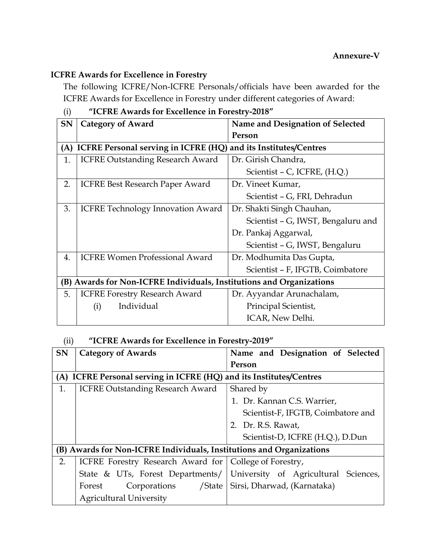## ICFRE Awards for Excellence in Forestry

The following ICFRE/Non-ICFRE Personals/officials have been awarded for the ICFRE Awards for Excellence in Forestry under different categories of Award:

| $\mathcal{L}$<br>ICI RE TIWARAS TOI EXCENCIRCE IN TORESH V 2010                  |                                    |  |
|----------------------------------------------------------------------------------|------------------------------------|--|
| <b>Category of Award</b>                                                         | Name and Designation of Selected   |  |
|                                                                                  | Person                             |  |
| <b>ICFRE Personal serving in ICFRE (HQ)</b><br>and its Institutes/Centres<br>(A) |                                    |  |
| <b>ICFRE Outstanding Research Award</b>                                          | Dr. Girish Chandra,                |  |
|                                                                                  | Scientist – C, ICFRE, (H.Q.)       |  |
| <b>ICFRE Best Research Paper Award</b>                                           | Dr. Vineet Kumar,                  |  |
|                                                                                  | Scientist - G, FRI, Dehradun       |  |
| <b>ICFRE Technology Innovation Award</b>                                         | Dr. Shakti Singh Chauhan,          |  |
|                                                                                  | Scientist - G, IWST, Bengaluru and |  |
|                                                                                  | Dr. Pankaj Aggarwal,               |  |
|                                                                                  | Scientist - G, IWST, Bengaluru     |  |
| <b>ICFRE Women Professional Award</b>                                            | Dr. Modhumita Das Gupta,           |  |
|                                                                                  | Scientist - F, IFGTB, Coimbatore   |  |
| (B) Awards for Non-ICFRE Individuals, Institutions and Organizations             |                                    |  |
| <b>ICFRE Forestry Research Award</b>                                             | Dr. Ayyandar Arunachalam,          |  |
| Individual<br>(i)                                                                | Principal Scientist,               |  |
|                                                                                  | ICAR, New Delhi.                   |  |
|                                                                                  |                                    |  |

## (i) "ICFRE Awards for Excellence in Forestry-2018"

## (ii) "ICFRE Awards for Excellence in Forestry-2019"

| <b>SN</b>                                                            | <b>Category of Awards</b>                                | Name and Designation of Selected                                      |
|----------------------------------------------------------------------|----------------------------------------------------------|-----------------------------------------------------------------------|
|                                                                      |                                                          | Person                                                                |
| (A) ICFRE Personal serving in ICFRE (HQ) and its Institutes/Centres  |                                                          |                                                                       |
| 1.                                                                   | <b>ICFRE Outstanding Research Award</b>                  | Shared by                                                             |
|                                                                      |                                                          | 1. Dr. Kannan C.S. Warrier,                                           |
|                                                                      |                                                          | Scientist-F, IFGTB, Coimbatore and                                    |
|                                                                      |                                                          | 2. Dr. R.S. Rawat,                                                    |
|                                                                      |                                                          | Scientist-D, ICFRE (H.Q.), D.Dun                                      |
| (B) Awards for Non-ICFRE Individuals, Institutions and Organizations |                                                          |                                                                       |
| 2.                                                                   | ICFRE Forestry Research Award for   College of Forestry, |                                                                       |
|                                                                      |                                                          | State & UTs, Forest Departments/ University of Agricultural Sciences, |
|                                                                      | /State  <br>Corporations<br>Forest                       | Sirsi, Dharwad, (Karnataka)                                           |
|                                                                      | <b>Agricultural University</b>                           |                                                                       |